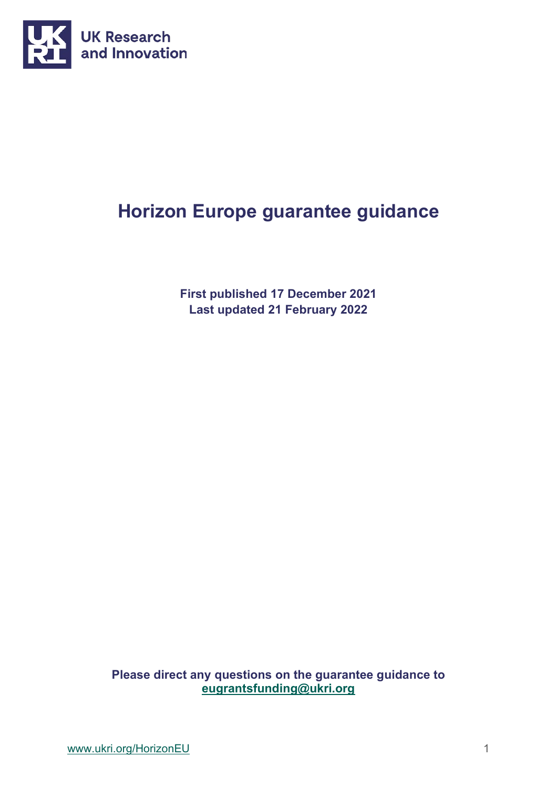

# **Horizon Europe guarantee guidance**

**First published 17 December 2021 Last updated 21 February 2022**

**Please direct any questions on the guarantee guidance to [eugrantsfunding@ukri.org](mailto:eugrantsfunding@ukri.org)**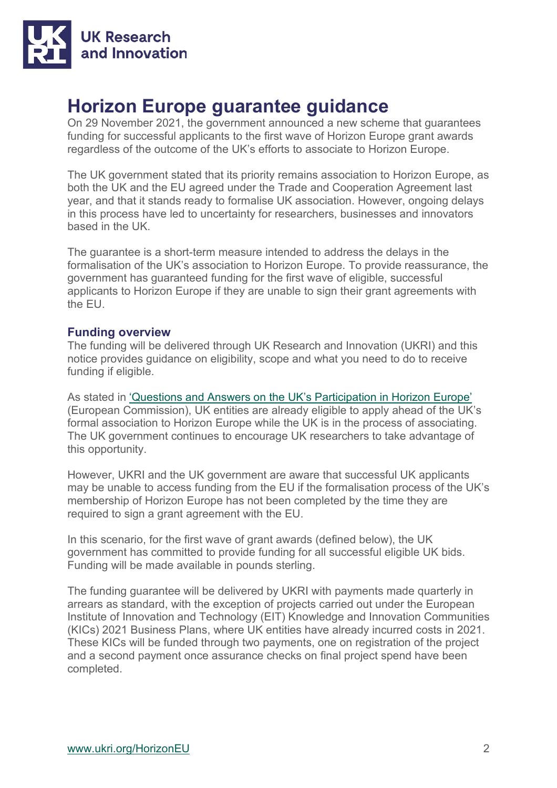

# **Horizon Europe guarantee guidance**

On 29 November 2021, the government announced a new scheme that guarantees funding for successful applicants to the first wave of Horizon Europe grant awards regardless of the outcome of the UK's efforts to associate to Horizon Europe.

The UK government stated that its priority remains association to Horizon Europe, as both the UK and the EU agreed under the Trade and Cooperation Agreement last year, and that it stands ready to formalise UK association. However, ongoing delays in this process have led to uncertainty for researchers, businesses and innovators based in the UK.

The guarantee is a short-term measure intended to address the delays in the formalisation of the UK's association to Horizon Europe. To provide reassurance, the government has guaranteed funding for the first wave of eligible, successful applicants to Horizon Europe if they are unable to sign their grant agreements with the EU.

# **Funding overview**

The funding will be delivered through UK Research and Innovation (UKRI) and this notice provides guidance on eligibility, scope and what you need to do to receive funding if eligible.

As stated in ['Questions and Answers on the UK's Participation in Horizon Europe'](https://ec.europa.eu/info/news/questions-answers-uks-participation-horizon-europe-2021-feb-25_en) (European Commission), UK entities are already eligible to apply ahead of the UK's formal association to Horizon Europe while the UK is in the process of associating. The UK government continues to encourage UK researchers to take advantage of this opportunity.

However, UKRI and the UK government are aware that successful UK applicants may be unable to access funding from the EU if the formalisation process of the UK's membership of Horizon Europe has not been completed by the time they are required to sign a grant agreement with the EU.

In this scenario, for the first wave of grant awards (defined below), the UK government has committed to provide funding for all successful eligible UK bids. Funding will be made available in pounds sterling.

The funding guarantee will be delivered by UKRI with payments made quarterly in arrears as standard, with the exception of projects carried out under the European Institute of Innovation and Technology (EIT) Knowledge and Innovation Communities (KICs) 2021 Business Plans, where UK entities have already incurred costs in 2021. These KICs will be funded through two payments, one on registration of the project and a second payment once assurance checks on final project spend have been completed.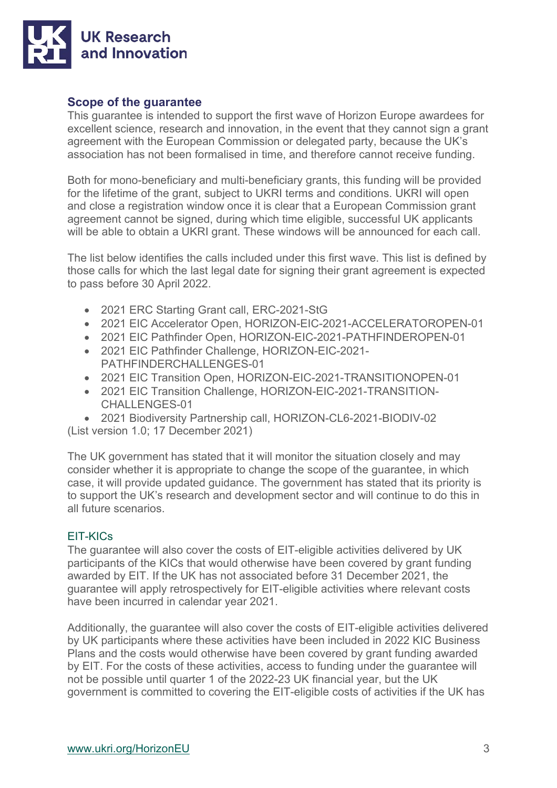

# **Scope of the guarantee**

This guarantee is intended to support the first wave of Horizon Europe awardees for excellent science, research and innovation, in the event that they cannot sign a grant agreement with the European Commission or delegated party, because the UK's association has not been formalised in time, and therefore cannot receive funding.

Both for mono-beneficiary and multi-beneficiary grants, this funding will be provided for the lifetime of the grant, subject to UKRI terms and conditions. UKRI will open and close a registration window once it is clear that a European Commission grant agreement cannot be signed, during which time eligible, successful UK applicants will be able to obtain a UKRI grant. These windows will be announced for each call.

The list below identifies the calls included under this first wave. This list is defined by those calls for which the last legal date for signing their grant agreement is expected to pass before 30 April 2022.

- 2021 ERC Starting Grant call, ERC-2021-StG
- 2021 EIC Accelerator Open, HORIZON-EIC-2021-ACCELERATOROPEN-01
- 2021 EIC Pathfinder Open, HORIZON-EIC-2021-PATHFINDEROPEN-01
- 2021 EIC Pathfinder Challenge, HORIZON-EIC-2021- PATHFINDERCHALLENGES-01
- 2021 EIC Transition Open, HORIZON-EIC-2021-TRANSITIONOPEN-01
- 2021 EIC Transition Challenge, HORIZON-EIC-2021-TRANSITION-CHALLENGES-01
- 2021 Biodiversity Partnership call, HORIZON-CL6-2021-BIODIV-02

(List version 1.0; 17 December 2021)

The UK government has stated that it will monitor the situation closely and may consider whether it is appropriate to change the scope of the guarantee, in which case, it will provide updated guidance. The government has stated that its priority is to support the UK's research and development sector and will continue to do this in all future scenarios.

# EIT-KICs

The guarantee will also cover the costs of EIT-eligible activities delivered by UK participants of the KICs that would otherwise have been covered by grant funding awarded by EIT. If the UK has not associated before 31 December 2021, the guarantee will apply retrospectively for EIT-eligible activities where relevant costs have been incurred in calendar year 2021.

Additionally, the guarantee will also cover the costs of EIT-eligible activities delivered by UK participants where these activities have been included in 2022 KIC Business Plans and the costs would otherwise have been covered by grant funding awarded by EIT. For the costs of these activities, access to funding under the guarantee will not be possible until quarter 1 of the 2022-23 UK financial year, but the UK government is committed to covering the EIT-eligible costs of activities if the UK has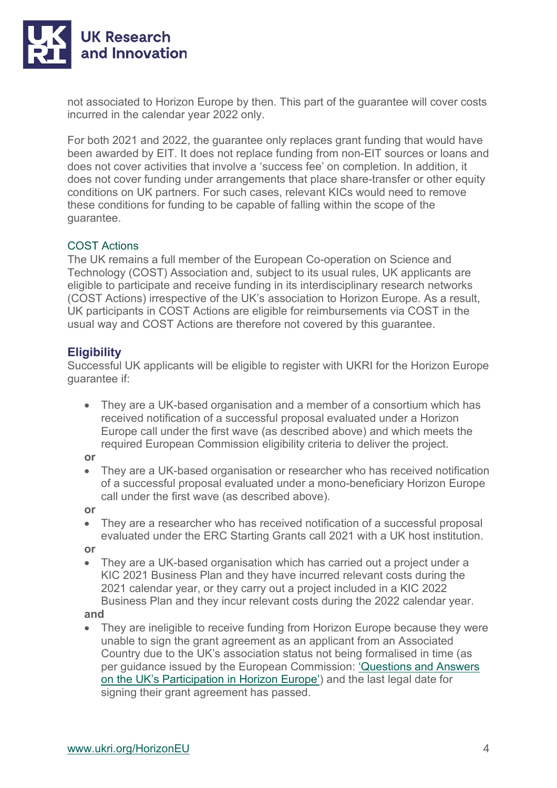

not associated to Horizon Europe by then. This part of the guarantee will cover costs incurred in the calendar year 2022 only.

For both 2021 and 2022, the guarantee only replaces grant funding that would have been awarded by EIT. It does not replace funding from non-EIT sources or loans and does not cover activities that involve a 'success fee' on completion. In addition, it does not cover funding under arrangements that place share-transfer or other equity conditions on UK partners. For such cases, relevant KICs would need to remove these conditions for funding to be capable of falling within the scope of the guarantee.

## COST Actions

The UK remains a full member of the European Co-operation on Science and Technology (COST) Association and, subject to its usual rules, UK applicants are eligible to participate and receive funding in its interdisciplinary research networks (COST Actions) irrespective of the UK's association to Horizon Europe. As a result, UK participants in COST Actions are eligible for reimbursements via COST in the usual way and COST Actions are therefore not covered by this guarantee.

# **Eligibility**

Successful UK applicants will be eligible to register with UKRI for the Horizon Europe guarantee if:

• They are a UK-based organisation and a member of a consortium which has received notification of a successful proposal evaluated under a Horizon Europe call under the first wave (as described above) and which meets the required European Commission eligibility criteria to deliver the project.

**or**

• They are a UK-based organisation or researcher who has received notification of a successful proposal evaluated under a mono-beneficiary Horizon Europe call under the first wave (as described above).

**or**

• They are a researcher who has received notification of a successful proposal evaluated under the ERC Starting Grants call 2021 with a UK host institution.

**or**

• They are a UK-based organisation which has carried out a project under a KIC 2021 Business Plan and they have incurred relevant costs during the 2021 calendar year, or they carry out a project included in a KIC 2022 Business Plan and they incur relevant costs during the 2022 calendar year.

**and**

• They are ineligible to receive funding from Horizon Europe because they were unable to sign the grant agreement as an applicant from an Associated Country due to the UK's association status not being formalised in time (as per guidance issued by the European Commission: ['Questions and Answers](https://ec.europa.eu/info/news/questions-answers-uks-participation-horizon-europe-2021-feb-25_en)  [on the UK's Participation in Horizon Europe'\)](https://ec.europa.eu/info/news/questions-answers-uks-participation-horizon-europe-2021-feb-25_en) and the last legal date for signing their grant agreement has passed.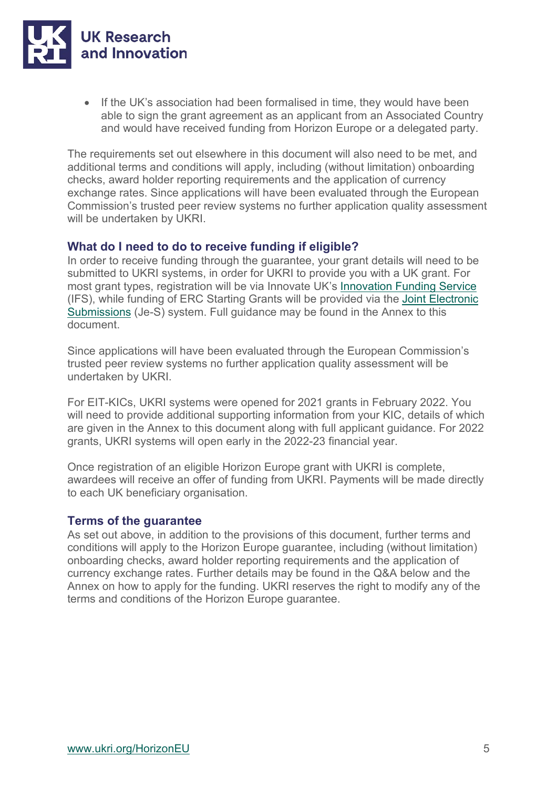

• If the UK's association had been formalised in time, they would have been able to sign the grant agreement as an applicant from an Associated Country and would have received funding from Horizon Europe or a delegated party.

The requirements set out elsewhere in this document will also need to be met, and additional terms and conditions will apply, including (without limitation) onboarding checks, award holder reporting requirements and the application of currency exchange rates. Since applications will have been evaluated through the European Commission's trusted peer review systems no further application quality assessment will be undertaken by UKRI.

# **What do I need to do to receive funding if eligible?**

In order to receive funding through the guarantee, your grant details will need to be submitted to UKRI systems, in order for UKRI to provide you with a UK grant. For most grant types, registration will be via Innovate UK's [Innovation Funding Service](https://auth.apply-for-innovation-funding.service.gov.uk/idp/profile/SAML2/Redirect/SSO?execution=e4s1) (IFS), while funding of ERC Starting Grants will be provided via the [Joint Electronic](https://je-s.rcuk.ac.uk/JeS2WebLoginSite/Login.aspx)  [Submissions](https://je-s.rcuk.ac.uk/JeS2WebLoginSite/Login.aspx) (Je-S) system. Full guidance may be found in the Annex to this document.

Since applications will have been evaluated through the European Commission's trusted peer review systems no further application quality assessment will be undertaken by UKRI.

For EIT-KICs, UKRI systems were opened for 2021 grants in February 2022. You will need to provide additional supporting information from your KIC, details of which are given in the Annex to this document along with full applicant guidance. For 2022 grants, UKRI systems will open early in the 2022-23 financial year.

Once registration of an eligible Horizon Europe grant with UKRI is complete, awardees will receive an offer of funding from UKRI. Payments will be made directly to each UK beneficiary organisation.

# **Terms of the guarantee**

As set out above, in addition to the provisions of this document, further terms and conditions will apply to the Horizon Europe guarantee, including (without limitation) onboarding checks, award holder reporting requirements and the application of currency exchange rates. Further details may be found in the Q&A below and the Annex on how to apply for the funding. UKRI reserves the right to modify any of the terms and conditions of the Horizon Europe guarantee.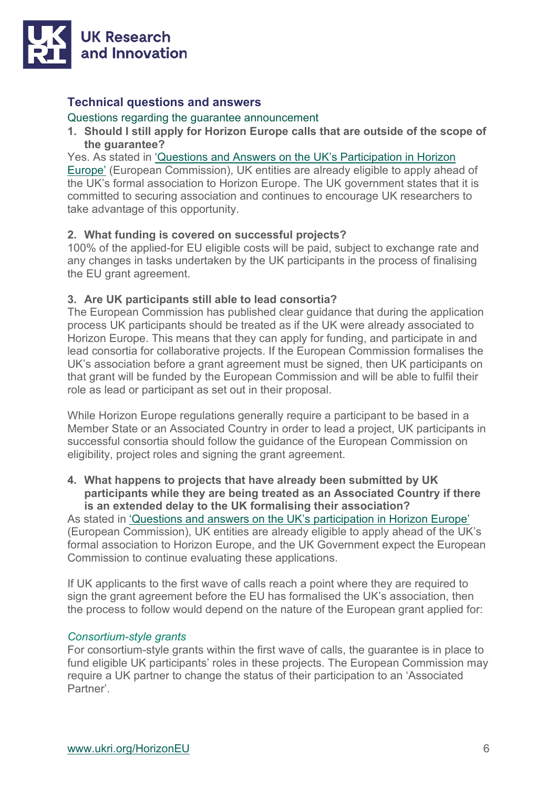

# **Technical questions and answers**

#### Questions regarding the guarantee announcement

**1. Should I still apply for Horizon Europe calls that are outside of the scope of the guarantee?**

Yes. As stated in ['Questions and Answers on the UK's Participation in Horizon](https://ec.europa.eu/info/news/questions-answers-uks-participation-horizon-europe-2021-feb-25_en) 

[Europe'](https://ec.europa.eu/info/news/questions-answers-uks-participation-horizon-europe-2021-feb-25_en) (European Commission), UK entities are already eligible to apply ahead of the UK's formal association to Horizon Europe. The UK government states that it is committed to securing association and continues to encourage UK researchers to take advantage of this opportunity.

# **2. What funding is covered on successful projects?**

100% of the applied-for EU eligible costs will be paid, subject to exchange rate and any changes in tasks undertaken by the UK participants in the process of finalising the EU grant agreement.

# **3. Are UK participants still able to lead consortia?**

The European Commission has published clear guidance that during the application process UK participants should be treated as if the UK were already associated to Horizon Europe. This means that they can apply for funding, and participate in and lead consortia for collaborative projects. If the European Commission formalises the UK's association before a grant agreement must be signed, then UK participants on that grant will be funded by the European Commission and will be able to fulfil their role as lead or participant as set out in their proposal.

While Horizon Europe regulations generally require a participant to be based in a Member State or an Associated Country in order to lead a project, UK participants in successful consortia should follow the guidance of the European Commission on eligibility, project roles and signing the grant agreement.

**4. What happens to projects that have already been submitted by UK participants while they are being treated as an Associated Country if there is an extended delay to the UK formalising their association?**

As stated in ['Questions and answers on the UK's participation in Horizon Europe'](https://ec.europa.eu/info/news/questions-answers-uks-participation-horizon-europe-2021-feb-25_en) (European Commission), UK entities are already eligible to apply ahead of the UK's formal association to Horizon Europe, and the UK Government expect the European Commission to continue evaluating these applications.

If UK applicants to the first wave of calls reach a point where they are required to sign the grant agreement before the EU has formalised the UK's association, then the process to follow would depend on the nature of the European grant applied for:

# *Consortium-style grants*

For consortium-style grants within the first wave of calls, the guarantee is in place to fund eligible UK participants' roles in these projects. The European Commission may require a UK partner to change the status of their participation to an 'Associated Partner'.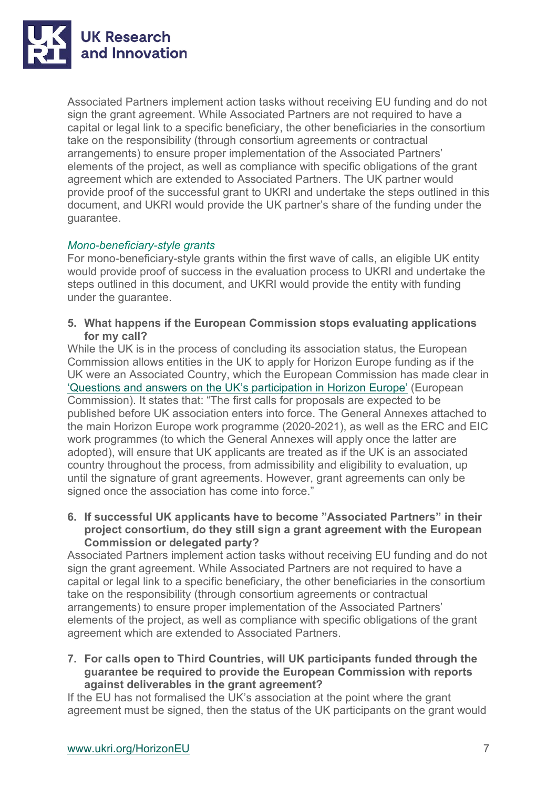

Associated Partners implement action tasks without receiving EU funding and do not sign the grant agreement. While Associated Partners are not required to have a capital or legal link to a specific beneficiary, the other beneficiaries in the consortium take on the responsibility (through consortium agreements or contractual arrangements) to ensure proper implementation of the Associated Partners' elements of the project, as well as compliance with specific obligations of the grant agreement which are extended to Associated Partners. The UK partner would provide proof of the successful grant to UKRI and undertake the steps outlined in this document, and UKRI would provide the UK partner's share of the funding under the guarantee.

# *Mono-beneficiary-style grants*

For mono-beneficiary-style grants within the first wave of calls, an eligible UK entity would provide proof of success in the evaluation process to UKRI and undertake the steps outlined in this document, and UKRI would provide the entity with funding under the guarantee.

**5. What happens if the European Commission stops evaluating applications for my call?**

While the UK is in the process of concluding its association status, the European Commission allows entities in the UK to apply for Horizon Europe funding as if the UK were an Associated Country, which the European Commission has made clear in ['Questions and answers on the UK's participation in Horizon Europe'](https://ec.europa.eu/info/news/questions-answers-uks-participation-horizon-europe-2021-feb-25_en) (European Commission). It states that: "The first calls for proposals are expected to be published before UK association enters into force. The General Annexes attached to the main Horizon Europe work programme (2020-2021), as well as the ERC and EIC work programmes (to which the General Annexes will apply once the latter are adopted), will ensure that UK applicants are treated as if the UK is an associated country throughout the process, from admissibility and eligibility to evaluation, up until the signature of grant agreements. However, grant agreements can only be signed once the association has come into force."

**6. If successful UK applicants have to become "Associated Partners" in their project consortium, do they still sign a grant agreement with the European Commission or delegated party?** 

Associated Partners implement action tasks without receiving EU funding and do not sign the grant agreement. While Associated Partners are not required to have a capital or legal link to a specific beneficiary, the other beneficiaries in the consortium take on the responsibility (through consortium agreements or contractual arrangements) to ensure proper implementation of the Associated Partners' elements of the project, as well as compliance with specific obligations of the grant agreement which are extended to Associated Partners.

**7. For calls open to Third Countries, will UK participants funded through the guarantee be required to provide the European Commission with reports against deliverables in the grant agreement?**

If the EU has not formalised the UK's association at the point where the grant agreement must be signed, then the status of the UK participants on the grant would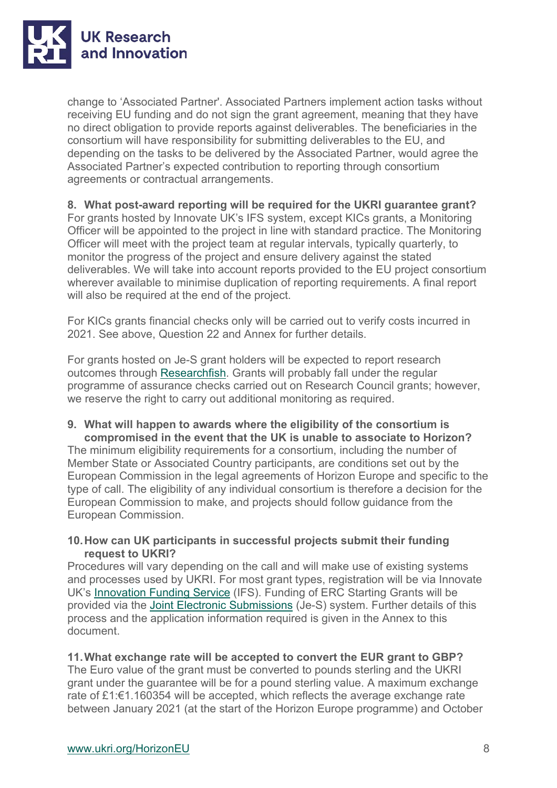

change to 'Associated Partner'. Associated Partners implement action tasks without receiving EU funding and do not sign the grant agreement, meaning that they have no direct obligation to provide reports against deliverables. The beneficiaries in the consortium will have responsibility for submitting deliverables to the EU, and depending on the tasks to be delivered by the Associated Partner, would agree the Associated Partner's expected contribution to reporting through consortium agreements or contractual arrangements.

# **8. What post-award reporting will be required for the UKRI guarantee grant?**

For grants hosted by Innovate UK's IFS system, except KICs grants, a Monitoring Officer will be appointed to the project in line with standard practice. The Monitoring Officer will meet with the project team at regular intervals, typically quarterly, to monitor the progress of the project and ensure delivery against the stated deliverables. We will take into account reports provided to the EU project consortium wherever available to minimise duplication of reporting requirements. A final report will also be required at the end of the project.

For KICs grants financial checks only will be carried out to verify costs incurred in 2021. See above, Question 22 and Annex for further details.

For grants hosted on Je-S grant holders will be expected to report research outcomes through [Researchfish.](https://www.ukri.org/manage-your-award/reporting-your-projects-outcomes/) Grants will probably fall under the regular programme of assurance checks carried out on Research Council grants; however, we reserve the right to carry out additional monitoring as required.

#### **9. What will happen to awards where the eligibility of the consortium is compromised in the event that the UK is unable to associate to Horizon?**

The minimum eligibility requirements for a consortium, including the number of Member State or Associated Country participants, are conditions set out by the European Commission in the legal agreements of Horizon Europe and specific to the type of call. The eligibility of any individual consortium is therefore a decision for the European Commission to make, and projects should follow guidance from the European Commission.

# **10.How can UK participants in successful projects submit their funding request to UKRI?**

Procedures will vary depending on the call and will make use of existing systems and processes used by UKRI. For most grant types, registration will be via Innovate UK's [Innovation Funding Service](https://auth.apply-for-innovation-funding.service.gov.uk/idp/profile/SAML2/Redirect/SSO?execution=e4s1) (IFS). Funding of ERC Starting Grants will be provided via the [Joint Electronic Submissions](https://je-s.rcuk.ac.uk/JeS2WebLoginSite/Login.aspx) (Je-S) system. Further details of this process and the application information required is given in the Annex to this document.

# **11.What exchange rate will be accepted to convert the EUR grant to GBP?**

The Euro value of the grant must be converted to pounds sterling and the UKRI grant under the guarantee will be for a pound sterling value. A maximum exchange rate of £1:€1.160354 will be accepted, which reflects the average exchange rate between January 2021 (at the start of the Horizon Europe programme) and October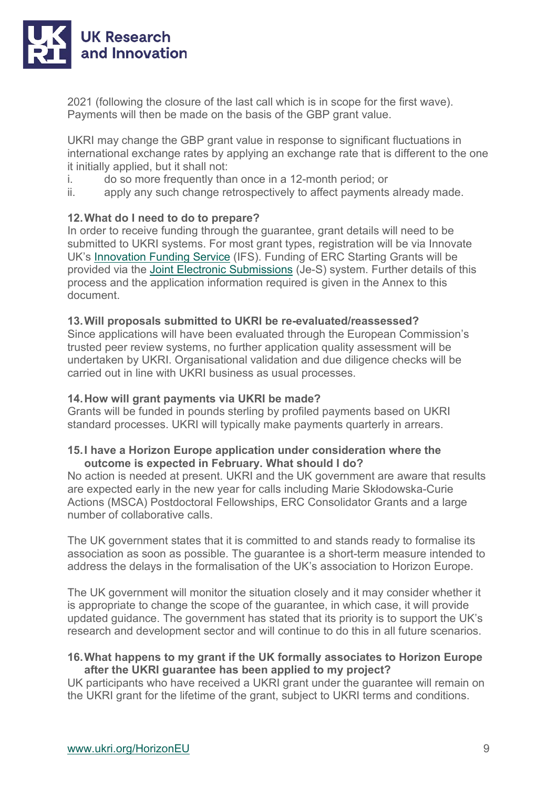

2021 (following the closure of the last call which is in scope for the first wave). Payments will then be made on the basis of the GBP grant value.

UKRI may change the GBP grant value in response to significant fluctuations in international exchange rates by applying an exchange rate that is different to the one it initially applied, but it shall not:

- i. do so more frequently than once in a 12-month period; or<br>ii apply any such change retrospectively to affect payments
- apply any such change retrospectively to affect payments already made.

# **12.What do I need to do to prepare?**

In order to receive funding through the guarantee, grant details will need to be submitted to UKRI systems. For most grant types, registration will be via Innovate UK's [Innovation Funding Service](https://auth.apply-for-innovation-funding.service.gov.uk/idp/profile/SAML2/Redirect/SSO?execution=e4s1) (IFS). Funding of ERC Starting Grants will be provided via the [Joint Electronic Submissions](https://je-s.rcuk.ac.uk/JeS2WebLoginSite/Login.aspx) (Je-S) system. Further details of this process and the application information required is given in the Annex to this document.

## **13.Will proposals submitted to UKRI be re-evaluated/reassessed?**

Since applications will have been evaluated through the European Commission's trusted peer review systems, no further application quality assessment will be undertaken by UKRI. Organisational validation and due diligence checks will be carried out in line with UKRI business as usual processes.

#### **14.How will grant payments via UKRI be made?**

Grants will be funded in pounds sterling by profiled payments based on UKRI standard processes. UKRI will typically make payments quarterly in arrears.

## **15.I have a Horizon Europe application under consideration where the outcome is expected in February. What should I do?**

No action is needed at present. UKRI and the UK government are aware that results are expected early in the new year for calls including Marie Skłodowska-Curie Actions (MSCA) Postdoctoral Fellowships, ERC Consolidator Grants and a large number of collaborative calls.

The UK government states that it is committed to and stands ready to formalise its association as soon as possible. The guarantee is a short-term measure intended to address the delays in the formalisation of the UK's association to Horizon Europe.

The UK government will monitor the situation closely and it may consider whether it is appropriate to change the scope of the guarantee, in which case, it will provide updated guidance. The government has stated that its priority is to support the UK's research and development sector and will continue to do this in all future scenarios.

# **16.What happens to my grant if the UK formally associates to Horizon Europe after the UKRI guarantee has been applied to my project?**

UK participants who have received a UKRI grant under the guarantee will remain on the UKRI grant for the lifetime of the grant, subject to UKRI terms and conditions.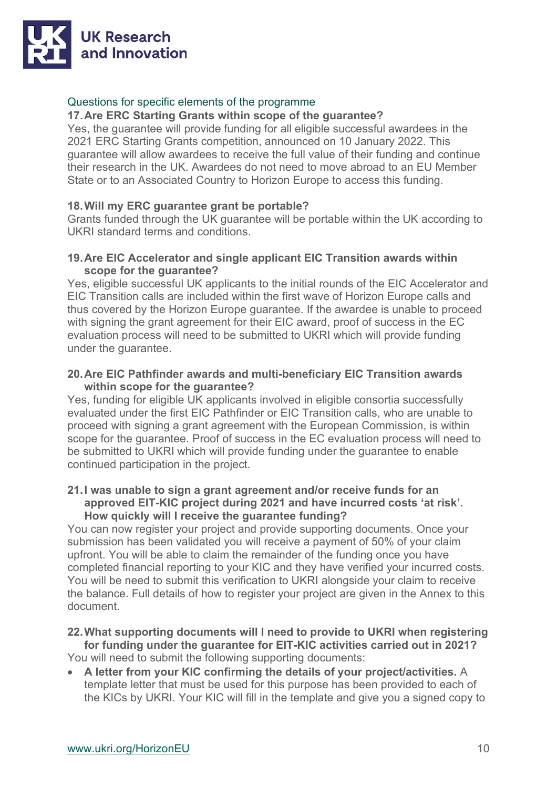

# Questions for specific elements of the programme

## **17.Are ERC Starting Grants within scope of the guarantee?**

Yes, the guarantee will provide funding for all eligible successful awardees in the 2021 ERC Starting Grants competition, announced on 10 January 2022. This guarantee will allow awardees to receive the full value of their funding and continue their research in the UK. Awardees do not need to move abroad to an EU Member State or to an Associated Country to Horizon Europe to access this funding.

# **18.Will my ERC guarantee grant be portable?**

Grants funded through the UK guarantee will be portable within the UK according to UKRI standard terms and conditions.

# **19.Are EIC Accelerator and single applicant EIC Transition awards within scope for the guarantee?**

Yes, eligible successful UK applicants to the initial rounds of the EIC Accelerator and EIC Transition calls are included within the first wave of Horizon Europe calls and thus covered by the Horizon Europe guarantee. If the awardee is unable to proceed with signing the grant agreement for their EIC award, proof of success in the EC evaluation process will need to be submitted to UKRI which will provide funding under the guarantee.

# **20.Are EIC Pathfinder awards and multi-beneficiary EIC Transition awards within scope for the guarantee?**

Yes, funding for eligible UK applicants involved in eligible consortia successfully evaluated under the first EIC Pathfinder or EIC Transition calls, who are unable to proceed with signing a grant agreement with the European Commission, is within scope for the guarantee. Proof of success in the EC evaluation process will need to be submitted to UKRI which will provide funding under the guarantee to enable continued participation in the project.

## **21.I was unable to sign a grant agreement and/or receive funds for an approved EIT-KIC project during 2021 and have incurred costs 'at risk'. How quickly will I receive the guarantee funding?**

You can now register your project and provide supporting documents. Once your submission has been validated you will receive a payment of 50% of your claim upfront. You will be able to claim the remainder of the funding once you have completed financial reporting to your KIC and they have verified your incurred costs. You will be need to submit this verification to UKRI alongside your claim to receive the balance. Full details of how to register your project are given in the Annex to this document.

#### **22.What supporting documents will I need to provide to UKRI when registering for funding under the guarantee for EIT-KIC activities carried out in 2021?**

You will need to submit the following supporting documents:

• **A letter from your KIC confirming the details of your project/activities.** A template letter that must be used for this purpose has been provided to each of the KICs by UKRI. Your KIC will fill in the template and give you a signed copy to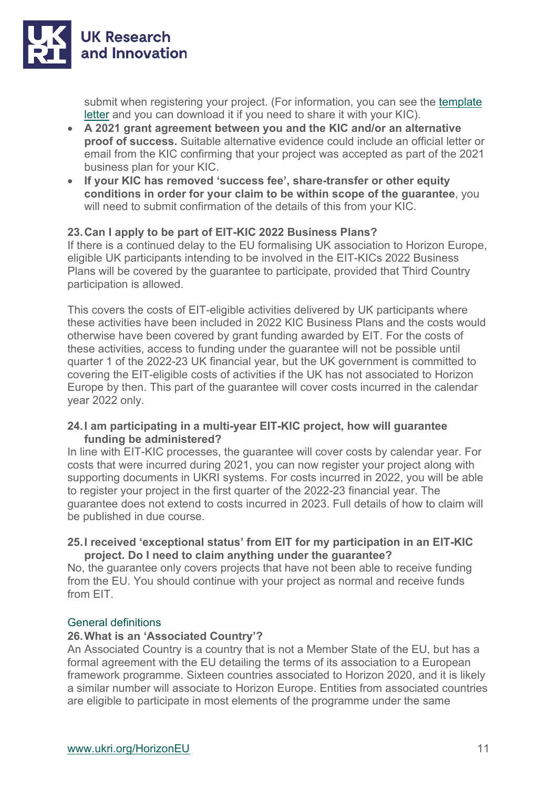

submit when registering your project. (For information, you can see the [template](https://www.ukri.org/wp-content/uploads/2022/02/UKRI-110222-HorizonEuropeGuarantee-TemplateEITKICLetterUKPartner.pdf)  [letter](https://www.ukri.org/wp-content/uploads/2022/02/UKRI-110222-HorizonEuropeGuarantee-TemplateEITKICLetterUKPartner.pdf) and you can download it if you need to share it with your KIC).

- **A 2021 grant agreement between you and the KIC and/or an alternative proof of success.** Suitable alternative evidence could include an official letter or email from the KIC confirming that your project was accepted as part of the 2021 business plan for your KIC.
- **If your KIC has removed 'success fee', share-transfer or other equity conditions in order for your claim to be within scope of the guarantee**, you will need to submit confirmation of the details of this from your KIC.

# **23.Can I apply to be part of EIT-KIC 2022 Business Plans?**

If there is a continued delay to the EU formalising UK association to Horizon Europe, eligible UK participants intending to be involved in the EIT-KICs 2022 Business Plans will be covered by the guarantee to participate, provided that Third Country participation is allowed.

This covers the costs of EIT-eligible activities delivered by UK participants where these activities have been included in 2022 KIC Business Plans and the costs would otherwise have been covered by grant funding awarded by EIT. For the costs of these activities, access to funding under the guarantee will not be possible until quarter 1 of the 2022-23 UK financial year, but the UK government is committed to covering the EIT-eligible costs of activities if the UK has not associated to Horizon Europe by then. This part of the guarantee will cover costs incurred in the calendar year 2022 only.

#### **24.I am participating in a multi-year EIT-KIC project, how will guarantee funding be administered?**

In line with EIT-KIC processes, the guarantee will cover costs by calendar year. For costs that were incurred during 2021, you can now register your project along with supporting documents in UKRI systems. For costs incurred in 2022, you will be able to register your project in the first quarter of the 2022-23 financial year. The guarantee does not extend to costs incurred in 2023. Full details of how to claim will be published in due course.

## **25.I received 'exceptional status' from EIT for my participation in an EIT-KIC project. Do I need to claim anything under the guarantee?**

No, the guarantee only covers projects that have not been able to receive funding from the EU. You should continue with your project as normal and receive funds from EIT.

# General definitions

#### **26.What is an 'Associated Country'?**

An Associated Country is a country that is not a Member State of the EU, but has a formal agreement with the EU detailing the terms of its association to a European framework programme. Sixteen countries associated to Horizon 2020, and it is likely a similar number will associate to Horizon Europe. Entities from associated countries are eligible to participate in most elements of the programme under the same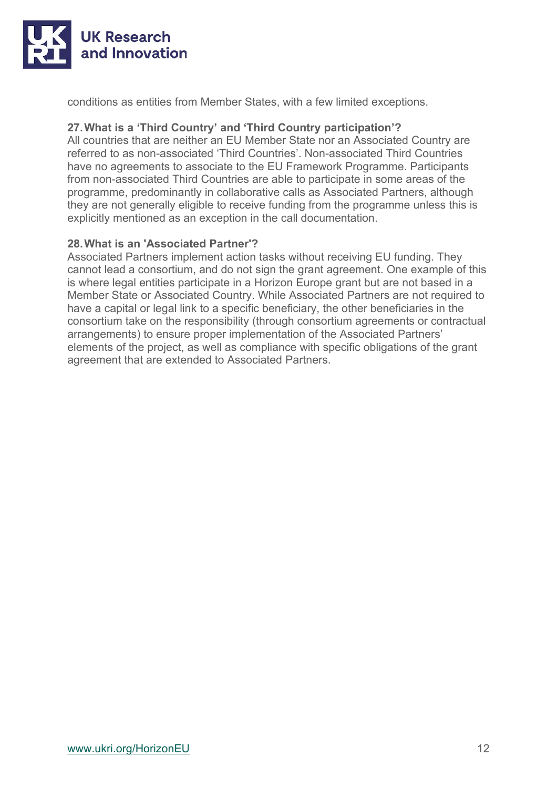

conditions as entities from Member States, with a few limited exceptions.

# **27.What is a 'Third Country' and 'Third Country participation'?**

All countries that are neither an EU Member State nor an Associated Country are referred to as non-associated 'Third Countries'. Non-associated Third Countries have no agreements to associate to the EU Framework Programme. Participants from non-associated Third Countries are able to participate in some areas of the programme, predominantly in collaborative calls as Associated Partners, although they are not generally eligible to receive funding from the programme unless this is explicitly mentioned as an exception in the call documentation.

# **28.What is an 'Associated Partner'?**

Associated Partners implement action tasks without receiving EU funding. They cannot lead a consortium, and do not sign the grant agreement. One example of this is where legal entities participate in a Horizon Europe grant but are not based in a Member State or Associated Country. While Associated Partners are not required to have a capital or legal link to a specific beneficiary, the other beneficiaries in the consortium take on the responsibility (through consortium agreements or contractual arrangements) to ensure proper implementation of the Associated Partners' elements of the project, as well as compliance with specific obligations of the grant agreement that are extended to Associated Partners.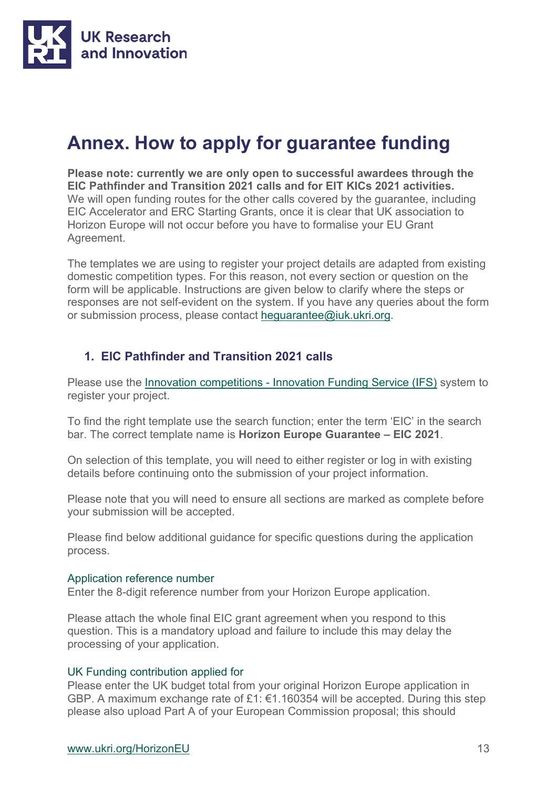

# **Annex. How to apply for guarantee funding**

**Please note: currently we are only open to successful awardees through the EIC Pathfinder and Transition 2021 calls and for EIT KICs 2021 activities.**  We will open funding routes for the other calls covered by the guarantee, including EIC Accelerator and ERC Starting Grants, once it is clear that UK association to Horizon Europe will not occur before you have to formalise your EU Grant Agreement.

The templates we are using to register your project details are adapted from existing domestic competition types. For this reason, not every section or question on the form will be applicable. Instructions are given below to clarify where the steps or responses are not self-evident on the system. If you have any queries about the form or submission process, please contact [heguarantee@iuk.ukri.org.](mailto:heguarantee@iuk.ukri.org)

# **1. EIC Pathfinder and Transition 2021 calls**

Please use the *Innovation competitions - [Innovation Funding Service \(IFS\)](https://bit.ly/3oVIMGx)* system to register your project.

To find the right template use the search function; enter the term 'EIC' in the search bar. The correct template name is **Horizon Europe Guarantee – EIC 2021**.

On selection of this template, you will need to either register or log in with existing details before continuing onto the submission of your project information.

Please note that you will need to ensure all sections are marked as complete before your submission will be accepted.

Please find below additional guidance for specific questions during the application process.

#### Application reference number

Enter the 8-digit reference number from your Horizon Europe application.

Please attach the whole final EIC grant agreement when you respond to this question. This is a mandatory upload and failure to include this may delay the processing of your application.

#### UK Funding contribution applied for

Please enter the UK budget total from your original Horizon Europe application in GBP. A maximum exchange rate of £1: €1.160354 will be accepted. During this step please also upload Part A of your European Commission proposal; this should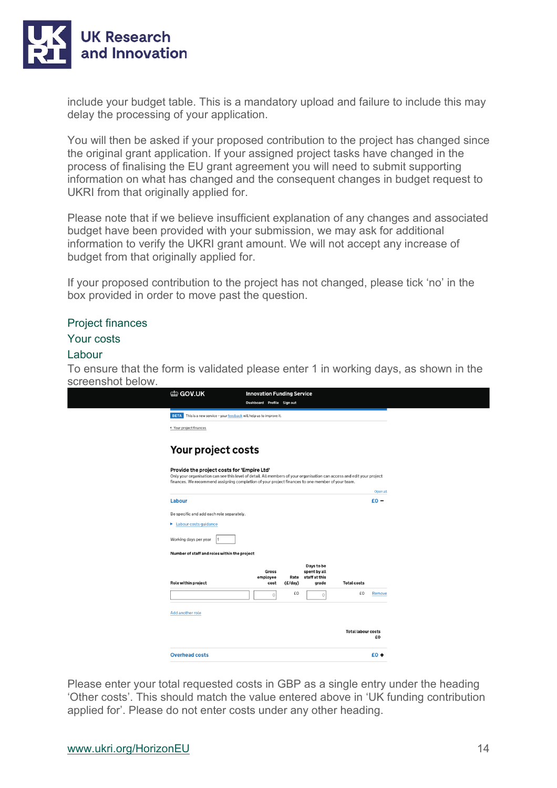

include your budget table. This is a mandatory upload and failure to include this may delay the processing of your application.

You will then be asked if your proposed contribution to the project has changed since the original grant application. If your assigned project tasks have changed in the process of finalising the EU grant agreement you will need to submit supporting information on what has changed and the consequent changes in budget request to UKRI from that originally applied for.

Please note that if we believe insufficient explanation of any changes and associated budget have been provided with your submission, we may ask for additional information to verify the UKRI grant amount. We will not accept any increase of budget from that originally applied for.

If your proposed contribution to the project has not changed, please tick 'no' in the box provided in order to move past the question.

#### Project finances

#### Your costs

#### Labour

To ensure that the form is validated please enter 1 in working days, as shown in the screenshot below.

| @ GOV.UK                                                                                                                                                                                                                                                                 | <b>Innovation Funding Service</b> |                 |                                                      |                           |          |
|--------------------------------------------------------------------------------------------------------------------------------------------------------------------------------------------------------------------------------------------------------------------------|-----------------------------------|-----------------|------------------------------------------------------|---------------------------|----------|
|                                                                                                                                                                                                                                                                          | Dashboard Profile Sign out        |                 |                                                      |                           |          |
| <b>BETA</b><br>This is a new service - your feedback will help us to improve it.                                                                                                                                                                                         |                                   |                 |                                                      |                           |          |
| ◆ Your project finances                                                                                                                                                                                                                                                  |                                   |                 |                                                      |                           |          |
| Your project costs                                                                                                                                                                                                                                                       |                                   |                 |                                                      |                           |          |
| Provide the project costs for 'Empire Ltd'<br>Only your organisation can see this level of detail. All members of your organisation can access and edit your project<br>finances. We recommend assigning completion of your project finances to one member of your team. |                                   |                 |                                                      |                           |          |
|                                                                                                                                                                                                                                                                          |                                   |                 |                                                      |                           | Open all |
| Labour                                                                                                                                                                                                                                                                   |                                   |                 |                                                      |                           | $E_0 -$  |
| Be specific and add each role separately.                                                                                                                                                                                                                                |                                   |                 |                                                      |                           |          |
| Labour costs guidance                                                                                                                                                                                                                                                    |                                   |                 |                                                      |                           |          |
| Working days per year                                                                                                                                                                                                                                                    |                                   |                 |                                                      |                           |          |
| Number of staff and roles within the project                                                                                                                                                                                                                             |                                   |                 |                                                      |                           |          |
| Role within project                                                                                                                                                                                                                                                      | Gross<br>employee<br>cost         | Rate<br>(E/day) | Days to be<br>spent by all<br>staff at this<br>grade | <b>Total costs</b>        |          |
|                                                                                                                                                                                                                                                                          | $\circ$                           | £O              | $\circ$                                              | £0                        | Remove   |
| Add another role                                                                                                                                                                                                                                                         |                                   |                 |                                                      |                           |          |
|                                                                                                                                                                                                                                                                          |                                   |                 |                                                      | <b>Total labour costs</b> | £O       |
| <b>Overhead costs</b>                                                                                                                                                                                                                                                    |                                   |                 |                                                      |                           | $E0 +$   |

Please enter your total requested costs in GBP as a single entry under the heading 'Other costs'. This should match the value entered above in 'UK funding contribution applied for'. Please do not enter costs under any other heading.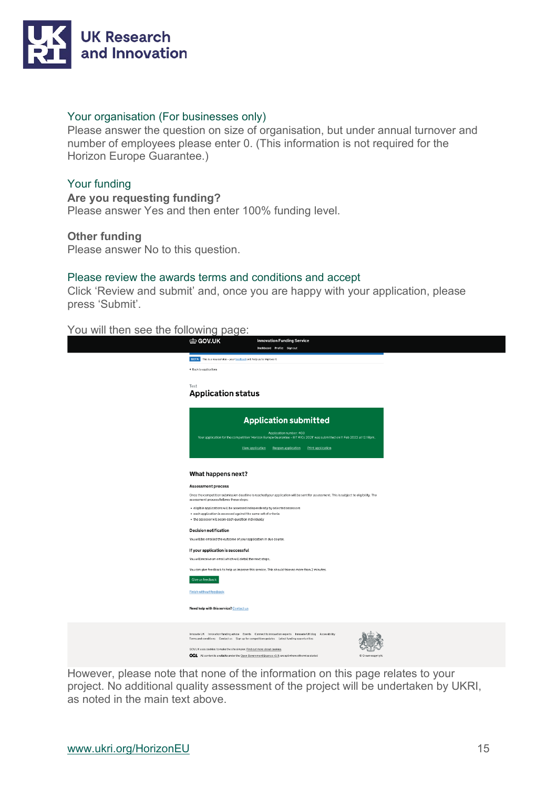

#### Your organisation (For businesses only)

Please answer the question on size of organisation, but under annual turnover and number of employees please enter 0. (This information is not required for the Horizon Europe Guarantee.)

#### Your funding

#### **Are you requesting funding?**

Please answer Yes and then enter 100% funding level.

#### **Other funding**

Please answer No to this question.

#### Please review the awards terms and conditions and accept

Click 'Review and submit' and, once you are happy with your application, please press 'Submit'.

# You will then see the following page:

| ada matamaning paga.                                                                                                                                                                                      |                   |
|-----------------------------------------------------------------------------------------------------------------------------------------------------------------------------------------------------------|-------------------|
| tip GOV.UK<br><b>Innovation Funding Service</b><br>Dashboard Profile Sign out                                                                                                                             |                   |
| BETA This is a new service - your feedback will help us to improve it.                                                                                                                                    |                   |
| 4 Back to applications                                                                                                                                                                                    |                   |
|                                                                                                                                                                                                           |                   |
| Test<br><b>Application status</b>                                                                                                                                                                         |                   |
|                                                                                                                                                                                                           |                   |
|                                                                                                                                                                                                           |                   |
| <b>Application submitted</b>                                                                                                                                                                              |                   |
| Application number: 403<br>Your application for the competition 'Horizon Europe Guarantee - EIT KICs 2021' was submitted on 11 Feb 2022 at 12:18pm.                                                       |                   |
| View application<br>Print application<br>Reopen application                                                                                                                                               |                   |
|                                                                                                                                                                                                           |                   |
|                                                                                                                                                                                                           |                   |
| What happens next?                                                                                                                                                                                        |                   |
| <b>Assessment process</b>                                                                                                                                                                                 |                   |
| Once the competition submission deadline is reached your application will be sent for assessment. This is subject to eligibility. The<br>assessment process follows these steps:                          |                   |
| · eligible applications will be assessed independently by selected assessors                                                                                                                              |                   |
| . each application is assessed against the same set of criteria<br>. the assessor will score each question individually                                                                                   |                   |
| <b>Decision notification</b>                                                                                                                                                                              |                   |
| You will be emailed the outcome of your application in due course.                                                                                                                                        |                   |
| If your application is successful                                                                                                                                                                         |                   |
| You will receive an email which will detail the next steps.                                                                                                                                               |                   |
| You can give feedback to help us improve this service. This should take no more than 2 minutes.                                                                                                           |                   |
| Give us feedback                                                                                                                                                                                          |                   |
| Finish without feedback                                                                                                                                                                                   |                   |
|                                                                                                                                                                                                           |                   |
| Need help with this service? Contact us                                                                                                                                                                   |                   |
|                                                                                                                                                                                                           |                   |
| Innovate UK Innovation funding advice Events Connect to innovation experts Innovate UK blog Accessibility<br>Terms and conditions Contact us Sign up for competition updates Latest funding opportunities |                   |
| GOV.UK uses cookies to make the site simpler. Find out more about cookies.                                                                                                                                |                   |
| OGI. All content is available under the Open Government Licence v3.0, except where otherwise stated                                                                                                       | C Crown copyright |
|                                                                                                                                                                                                           |                   |

However, please note that none of the information on this page relates to your project. No additional quality assessment of the project will be undertaken by UKRI, as noted in the main text above.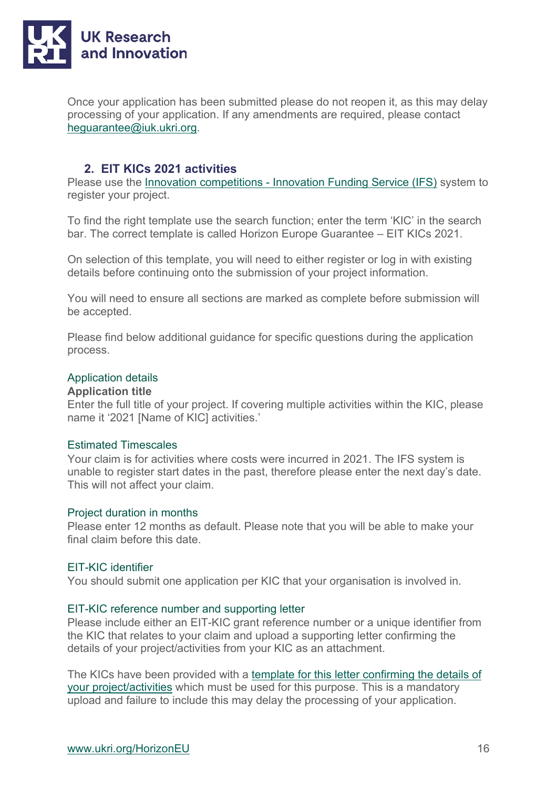

Once your application has been submitted please do not reopen it, as this may delay processing of your application. If any amendments are required, please contact [heguarantee@iuk.ukri.org.](mailto:heguarantee@iuk.ukri.org)

# **2. EIT KICs 2021 activities**

Please use the [Innovation competitions -](https://bit.ly/3oVIMGx) [Innovation Funding Service \(IFS\)](https://bit.ly/3oVIMGx) system to register your project.

To find the right template use the search function; enter the term 'KIC' in the search bar. The correct template is called Horizon Europe Guarantee – EIT KICs 2021.

On selection of this template, you will need to either register or log in with existing details before continuing onto the submission of your project information.

You will need to ensure all sections are marked as complete before submission will be accepted.

Please find below additional guidance for specific questions during the application process.

## Application details

#### **Application title**

Enter the full title of your project. If covering multiple activities within the KIC, please name it '2021 [Name of KIC] activities.'

#### Estimated Timescales

Your claim is for activities where costs were incurred in 2021. The IFS system is unable to register start dates in the past, therefore please enter the next day's date. This will not affect your claim.

#### Project duration in months

Please enter 12 months as default. Please note that you will be able to make your final claim before this date.

#### EIT-KIC identifier

You should submit one application per KIC that your organisation is involved in.

#### EIT-KIC reference number and supporting letter

Please include either an EIT-KIC grant reference number or a unique identifier from the KIC that relates to your claim and upload a supporting letter confirming the details of your project/activities from your KIC as an attachment.

The KICs have been provided with a template for this letter confirming the details of [your project/activities](http://www.ukri.org/wp-content/uploads/2022/02/UKRI-110222-HorizonEuropeGuarantee-TemplateEITKICLetterUKPartner.pdf) which must be used for this purpose. This is a mandatory upload and failure to include this may delay the processing of your application.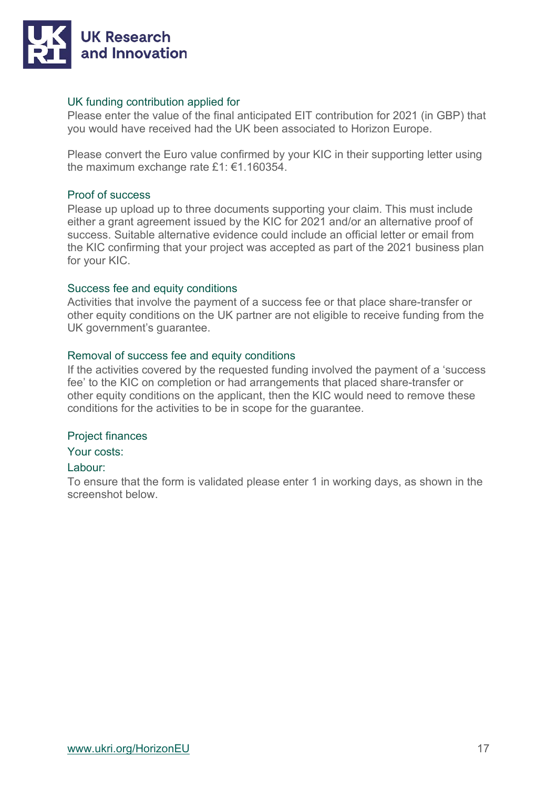

## UK funding contribution applied for

Please enter the value of the final anticipated EIT contribution for 2021 (in GBP) that you would have received had the UK been associated to Horizon Europe.

Please convert the Euro value confirmed by your KIC in their supporting letter using the maximum exchange rate £1: €1.160354.

#### Proof of success

Please up upload up to three documents supporting your claim. This must include either a grant agreement issued by the KIC for 2021 and/or an alternative proof of success. Suitable alternative evidence could include an official letter or email from the KIC confirming that your project was accepted as part of the 2021 business plan for your KIC.

# Success fee and equity conditions

Activities that involve the payment of a success fee or that place share-transfer or other equity conditions on the UK partner are not eligible to receive funding from the UK government's guarantee.

# Removal of success fee and equity conditions

If the activities covered by the requested funding involved the payment of a 'success fee' to the KIC on completion or had arrangements that placed share-transfer or other equity conditions on the applicant, then the KIC would need to remove these conditions for the activities to be in scope for the guarantee.

#### Project finances

Your costs:

# Labour:

To ensure that the form is validated please enter 1 in working days, as shown in the screenshot below.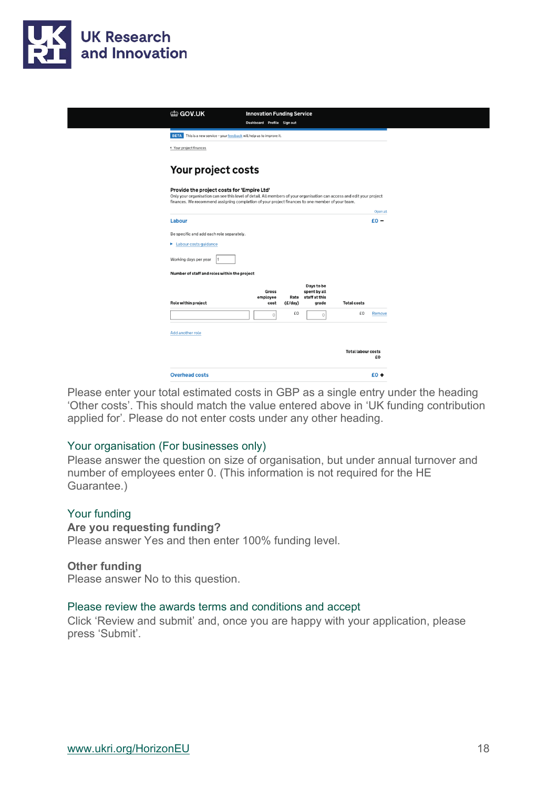

| (til GOV.UK                                                                                                                                                                                                                                                              | <b>Innovation Funding Service</b> |         |                                                           |                           |          |
|--------------------------------------------------------------------------------------------------------------------------------------------------------------------------------------------------------------------------------------------------------------------------|-----------------------------------|---------|-----------------------------------------------------------|---------------------------|----------|
|                                                                                                                                                                                                                                                                          | Dashboard Profile Sign out        |         |                                                           |                           |          |
| BETA This is a new service - your feedback will help us to improve it.                                                                                                                                                                                                   |                                   |         |                                                           |                           |          |
| ◆ Your project finances                                                                                                                                                                                                                                                  |                                   |         |                                                           |                           |          |
| Your project costs                                                                                                                                                                                                                                                       |                                   |         |                                                           |                           |          |
| Provide the project costs for 'Empire Ltd'<br>Only your organisation can see this level of detail. All members of your organisation can access and edit your project<br>finances. We recommend assigning completion of your project finances to one member of your team. |                                   |         |                                                           |                           |          |
|                                                                                                                                                                                                                                                                          |                                   |         |                                                           |                           | Open all |
| Labour                                                                                                                                                                                                                                                                   |                                   |         |                                                           |                           | $E_0 -$  |
| Be specific and add each role separately.                                                                                                                                                                                                                                |                                   |         |                                                           |                           |          |
| Labour costs guidance                                                                                                                                                                                                                                                    |                                   |         |                                                           |                           |          |
| Working days per year                                                                                                                                                                                                                                                    |                                   |         |                                                           |                           |          |
| Number of staff and roles within the project                                                                                                                                                                                                                             |                                   |         |                                                           |                           |          |
| Role within project                                                                                                                                                                                                                                                      | Gross<br>employee<br>cost         | (E/day) | Days to be<br>spent by all<br>Rate staff at this<br>grade | <b>Total costs</b>        |          |
|                                                                                                                                                                                                                                                                          | $\circ$                           | £0      | $\circ$                                                   | £0                        | Remove   |
| Add another role                                                                                                                                                                                                                                                         |                                   |         |                                                           |                           |          |
|                                                                                                                                                                                                                                                                          |                                   |         |                                                           | <b>Total labour costs</b> | £O       |
| <b>Overhead costs</b>                                                                                                                                                                                                                                                    |                                   |         |                                                           |                           | $E0 +$   |

Please enter your total estimated costs in GBP as a single entry under the heading 'Other costs'. This should match the value entered above in 'UK funding contribution applied for'. Please do not enter costs under any other heading.

#### Your organisation (For businesses only)

Please answer the question on size of organisation, but under annual turnover and number of employees enter 0. (This information is not required for the HE Guarantee.)

#### Your funding

## **Are you requesting funding?**

Please answer Yes and then enter 100% funding level.

#### **Other funding**

Please answer No to this question.

#### Please review the awards terms and conditions and accept

Click 'Review and submit' and, once you are happy with your application, please press 'Submit'.